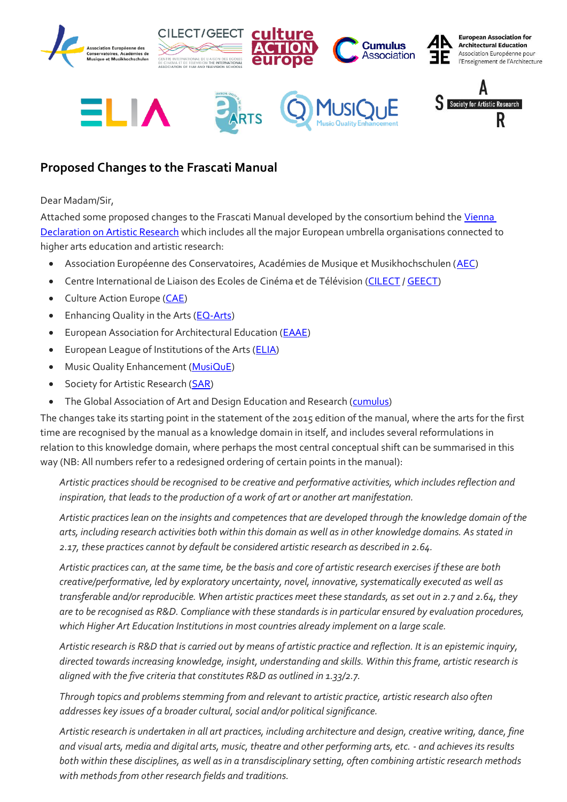

## **Proposed Changes to the Frascati Manual**

## Dear Madam/Sir,

Attached some proposed changes to the Frascati Manual developed by the consortium behind the Vienna [Declaration on Artistic Research](https://societyforartisticresearch.org/wp-content/uploads/2020/10/Vienna-Declaration-on-Artistic-Research-Final.pdf) which includes all the major European umbrella organisations connected to higher arts education and artistic research:

- Association Européenne des Conservatoires, Académies de Musique et Musikhochschulen [\(AEC\)](https://aec-music.eu/)
- Centre International de Liaison des Ecoles de Cinéma et de Télévision [\(CILECT](https://www.cilect.org/) [/ GEECT\)](https://geect.wordpress.com/)
- Culture Action Europe [\(CAE\)](https://cultureactioneurope.org/)
- Enhancing Quality in the Arts [\(EQ-Arts\)](http://www.eq-arts.org/)
- European Association for Architectural Education [\(EAAE\)](https://www.eaae.be/)
- European League of Institutions of the Arts [\(ELIA\)](https://elia-artschools.org/?)
- Music Quality Enhancement [\(MusiQuE\)](https://musique-qe.eu/)
- Society for Artistic Research [\(SAR\)](https://societyforartisticresearch.org/)
- The Global Association of Art and Design Education and Research [\(cumulus\)](https://cumulusassociation.org/)

The changes take its starting point in the statement of the 2015 edition of the manual, where the arts for the first time are recognised by the manual as a knowledge domain in itself, and includes several reformulations in relation to this knowledge domain, where perhaps the most central conceptual shift can be summarised in this way (NB: All numbers refer to a redesigned ordering of certain points in the manual):

*Artistic practices should be recognised to be creative and performative activities, which includes reflection and inspiration, that leads to the production of a work of art or another art manifestation.* 

*Artistic practices lean on the insights and competences that are developed through the knowledge domain of the arts, including research activities both within this domain as well as in other knowledge domains. As stated in 2.17, these practices cannot by default be considered artistic research as described in 2.64.*

*Artistic practices can, at the same time, be the basis and core of artistic research exercises if these are both creative/performative, led by exploratory uncertainty, novel, innovative, systematically executed as well as transferable and/or reproducible. When artistic practices meet these standards, as set out in 2.7 and 2.64, they are to be recognised as R&D. Compliance with these standards is in particular ensured by evaluation procedures, which Higher Art Education Institutions in most countries already implement on a large scale.*

*Artistic research is R&D that is carried out by means of artistic practice and reflection. It is an epistemic inquiry, directed towards increasing knowledge, insight, understanding and skills. Within this frame, artistic research is aligned with the five criteria that constitutes R&D as outlined in 1.33/2.7.*

*Through topics and problems stemming from and relevant to artistic practice, artistic research also often addresses key issues of a broader cultural, social and/or political significance.* 

*Artistic research is undertaken in all art practices, including architecture and design, creative writing, dance, fine and visual arts, media and digital arts, music, theatre and other performing arts, etc. - and achieves its results both within these disciplines, as well as in a transdisciplinary setting, often combining artistic research methods with methods from other research fields and traditions.*